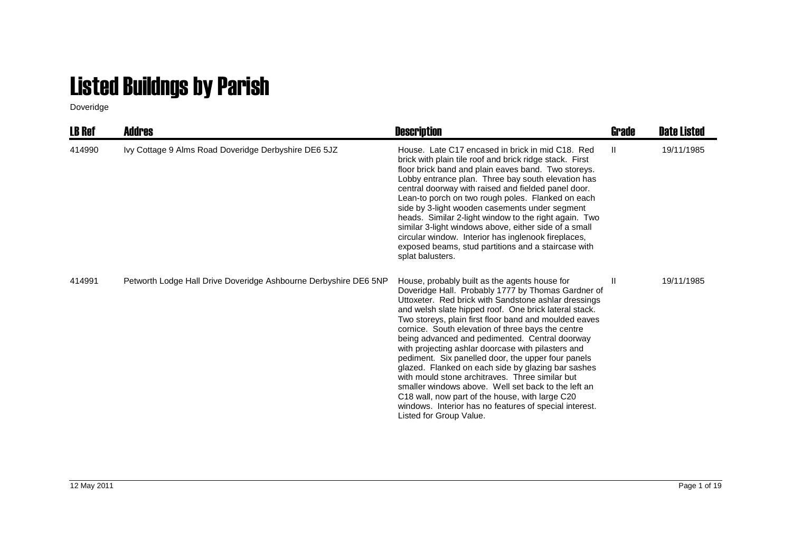## Listed Buildngs by Parish

Doveridge

| LB Ref | Addres                                                           | <b>Description</b>                                                                                                                                                                                                                                                                                                                                                                                                                                                                                                                                                                                                                                                                                                                                                                                                               | Grade        | <b>Date Listed</b> |
|--------|------------------------------------------------------------------|----------------------------------------------------------------------------------------------------------------------------------------------------------------------------------------------------------------------------------------------------------------------------------------------------------------------------------------------------------------------------------------------------------------------------------------------------------------------------------------------------------------------------------------------------------------------------------------------------------------------------------------------------------------------------------------------------------------------------------------------------------------------------------------------------------------------------------|--------------|--------------------|
| 414990 | Ivy Cottage 9 Alms Road Doveridge Derbyshire DE6 5JZ             | House. Late C17 encased in brick in mid C18. Red<br>brick with plain tile roof and brick ridge stack. First<br>floor brick band and plain eaves band. Two storeys.<br>Lobby entrance plan. Three bay south elevation has<br>central doorway with raised and fielded panel door.<br>Lean-to porch on two rough poles. Flanked on each<br>side by 3-light wooden casements under segment<br>heads. Similar 2-light window to the right again. Two<br>similar 3-light windows above, either side of a small<br>circular window. Interior has inglenook fireplaces,<br>exposed beams, stud partitions and a staircase with<br>splat balusters.                                                                                                                                                                                       | $\mathbf{H}$ | 19/11/1985         |
| 414991 | Petworth Lodge Hall Drive Doveridge Ashbourne Derbyshire DE6 5NP | House, probably built as the agents house for<br>Doveridge Hall. Probably 1777 by Thomas Gardner of<br>Uttoxeter. Red brick with Sandstone ashlar dressings<br>and welsh slate hipped roof. One brick lateral stack.<br>Two storeys, plain first floor band and moulded eaves<br>cornice. South elevation of three bays the centre<br>being advanced and pedimented. Central doorway<br>with projecting ashlar doorcase with pilasters and<br>pediment. Six panelled door, the upper four panels<br>glazed. Flanked on each side by glazing bar sashes<br>with mould stone architraves. Three similar but<br>smaller windows above. Well set back to the left an<br>C <sub>18</sub> wall, now part of the house, with large C <sub>20</sub><br>windows. Interior has no features of special interest.<br>Listed for Group Value. | H            | 19/11/1985         |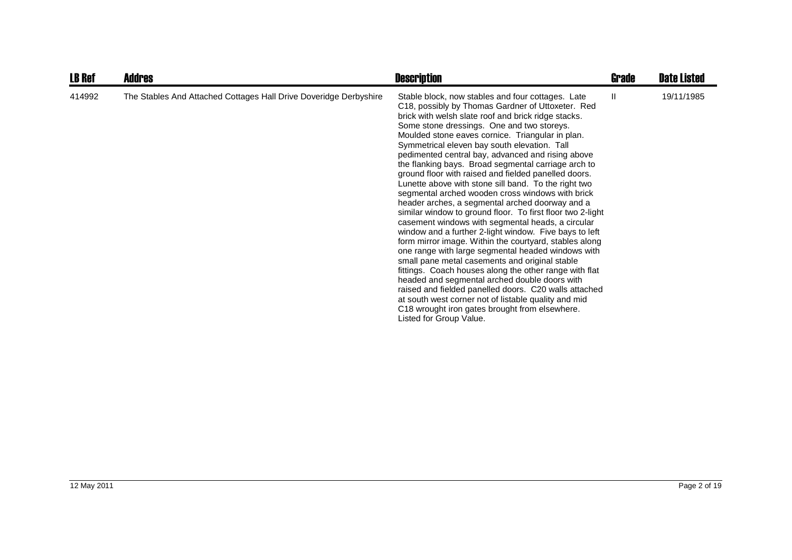| <b>LB Ref</b> | <b>Addres</b>                                                     | <b>Description</b>                                                                                                                                                                                                                                                                                                                                                                                                                                                                                                                                                                                                                                                                                                                                                                                                                                                                                                                                                                                                                                                                                                                                                                                                                                                                                         | Grade | <b>Date Listed</b> |
|---------------|-------------------------------------------------------------------|------------------------------------------------------------------------------------------------------------------------------------------------------------------------------------------------------------------------------------------------------------------------------------------------------------------------------------------------------------------------------------------------------------------------------------------------------------------------------------------------------------------------------------------------------------------------------------------------------------------------------------------------------------------------------------------------------------------------------------------------------------------------------------------------------------------------------------------------------------------------------------------------------------------------------------------------------------------------------------------------------------------------------------------------------------------------------------------------------------------------------------------------------------------------------------------------------------------------------------------------------------------------------------------------------------|-------|--------------------|
| 414992        | The Stables And Attached Cottages Hall Drive Doveridge Derbyshire | Stable block, now stables and four cottages. Late<br>C18, possibly by Thomas Gardner of Uttoxeter. Red<br>brick with welsh slate roof and brick ridge stacks.<br>Some stone dressings. One and two storeys.<br>Moulded stone eaves cornice. Triangular in plan.<br>Symmetrical eleven bay south elevation. Tall<br>pedimented central bay, advanced and rising above<br>the flanking bays. Broad segmental carriage arch to<br>ground floor with raised and fielded panelled doors.<br>Lunette above with stone sill band. To the right two<br>segmental arched wooden cross windows with brick<br>header arches, a segmental arched doorway and a<br>similar window to ground floor. To first floor two 2-light<br>casement windows with segmental heads, a circular<br>window and a further 2-light window. Five bays to left<br>form mirror image. Within the courtyard, stables along<br>one range with large segmental headed windows with<br>small pane metal casements and original stable<br>fittings. Coach houses along the other range with flat<br>headed and segmental arched double doors with<br>raised and fielded panelled doors. C20 walls attached<br>at south west corner not of listable quality and mid<br>C18 wrought iron gates brought from elsewhere.<br>Listed for Group Value. | H.    | 19/11/1985         |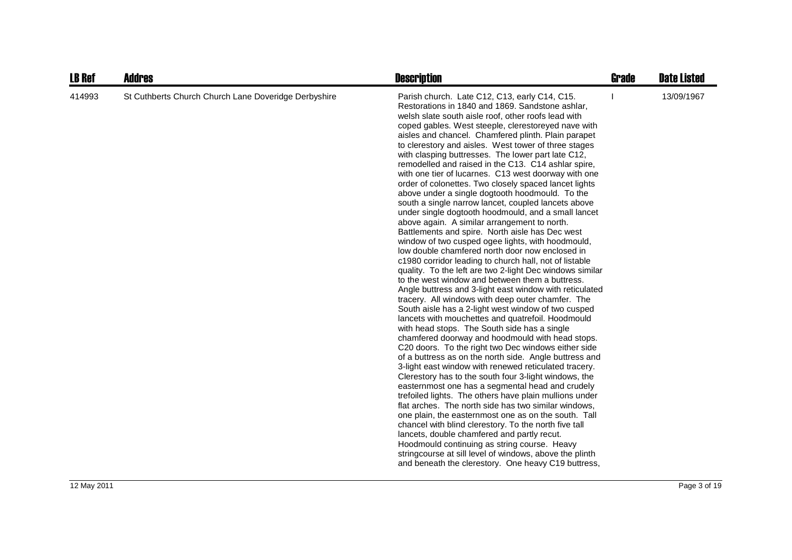| <b>LB Ref</b> | <b>Addres</b>                                        | <b>Description</b>                                                                                                                                                                                                                                                                                                                                                                                                                                                                                                                                                                                                                                                                                                                                                                                                                                                                                                                                                                                                                                                                                                                                                                                                                                                                                                                                                                                                                                                                                                                                                                                                                                                                                                                                                                                                                                                                                                                                                                                                                                                                                                                                                                           | <b>Grade</b> | <b>Date Listed</b> |
|---------------|------------------------------------------------------|----------------------------------------------------------------------------------------------------------------------------------------------------------------------------------------------------------------------------------------------------------------------------------------------------------------------------------------------------------------------------------------------------------------------------------------------------------------------------------------------------------------------------------------------------------------------------------------------------------------------------------------------------------------------------------------------------------------------------------------------------------------------------------------------------------------------------------------------------------------------------------------------------------------------------------------------------------------------------------------------------------------------------------------------------------------------------------------------------------------------------------------------------------------------------------------------------------------------------------------------------------------------------------------------------------------------------------------------------------------------------------------------------------------------------------------------------------------------------------------------------------------------------------------------------------------------------------------------------------------------------------------------------------------------------------------------------------------------------------------------------------------------------------------------------------------------------------------------------------------------------------------------------------------------------------------------------------------------------------------------------------------------------------------------------------------------------------------------------------------------------------------------------------------------------------------------|--------------|--------------------|
| 414993        | St Cuthberts Church Church Lane Doveridge Derbyshire | Parish church. Late C12, C13, early C14, C15.<br>Restorations in 1840 and 1869. Sandstone ashlar,<br>welsh slate south aisle roof, other roofs lead with<br>coped gables. West steeple, clerestoreyed nave with<br>aisles and chancel. Chamfered plinth. Plain parapet<br>to clerestory and aisles. West tower of three stages<br>with clasping buttresses. The lower part late C12,<br>remodelled and raised in the C13. C14 ashlar spire,<br>with one tier of lucarnes. C13 west doorway with one<br>order of colonettes. Two closely spaced lancet lights<br>above under a single dogtooth hoodmould. To the<br>south a single narrow lancet, coupled lancets above<br>under single dogtooth hoodmould, and a small lancet<br>above again. A similar arrangement to north.<br>Battlements and spire. North aisle has Dec west<br>window of two cusped ogee lights, with hoodmould,<br>low double chamfered north door now enclosed in<br>c1980 corridor leading to church hall, not of listable<br>quality. To the left are two 2-light Dec windows similar<br>to the west window and between them a buttress.<br>Angle buttress and 3-light east window with reticulated<br>tracery. All windows with deep outer chamfer. The<br>South aisle has a 2-light west window of two cusped<br>lancets with mouchettes and quatrefoil. Hoodmould<br>with head stops. The South side has a single<br>chamfered doorway and hoodmould with head stops.<br>C20 doors. To the right two Dec windows either side<br>of a buttress as on the north side. Angle buttress and<br>3-light east window with renewed reticulated tracery.<br>Clerestory has to the south four 3-light windows, the<br>easternmost one has a segmental head and crudely<br>trefoiled lights. The others have plain mullions under<br>flat arches. The north side has two similar windows.<br>one plain, the easternmost one as on the south. Tall<br>chancel with blind clerestory. To the north five tall<br>lancets, double chamfered and partly recut.<br>Hoodmould continuing as string course. Heavy<br>stringcourse at sill level of windows, above the plinth<br>and beneath the clerestory. One heavy C19 buttress, |              | 13/09/1967         |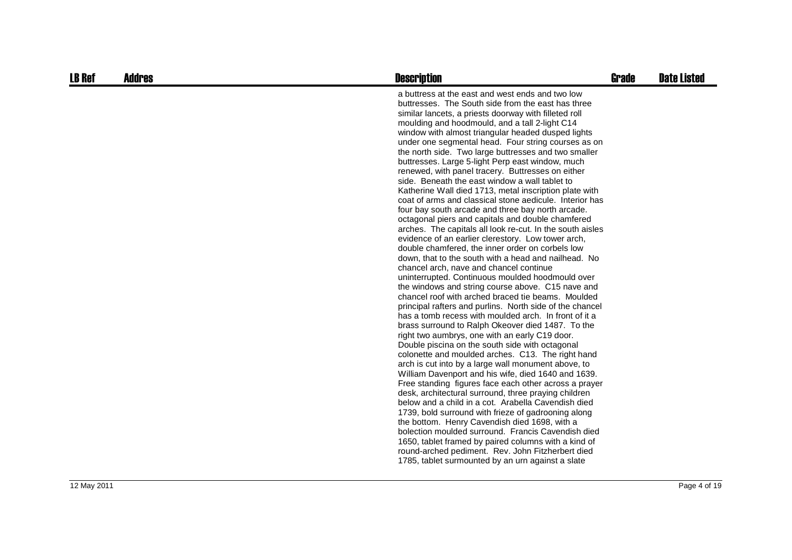| <b>LB Ref</b> | <b>Addres</b> | <b>Description</b>                                                                                                                                                                                                                                                                                                                                                                                                                                                                                                                                                                                                                                                                                                                                                                                                                                                                                                                                                                                                                                                                                                                                                                                                                                                                                                                                                                                                                                                                                                                                                                                                                                                                                                                                                                                                                                                                                                                                                                                                                                                                                                                                                                  | <b>Grade</b> | <b>Date Listed</b> |
|---------------|---------------|-------------------------------------------------------------------------------------------------------------------------------------------------------------------------------------------------------------------------------------------------------------------------------------------------------------------------------------------------------------------------------------------------------------------------------------------------------------------------------------------------------------------------------------------------------------------------------------------------------------------------------------------------------------------------------------------------------------------------------------------------------------------------------------------------------------------------------------------------------------------------------------------------------------------------------------------------------------------------------------------------------------------------------------------------------------------------------------------------------------------------------------------------------------------------------------------------------------------------------------------------------------------------------------------------------------------------------------------------------------------------------------------------------------------------------------------------------------------------------------------------------------------------------------------------------------------------------------------------------------------------------------------------------------------------------------------------------------------------------------------------------------------------------------------------------------------------------------------------------------------------------------------------------------------------------------------------------------------------------------------------------------------------------------------------------------------------------------------------------------------------------------------------------------------------------------|--------------|--------------------|
|               |               | a buttress at the east and west ends and two low<br>buttresses. The South side from the east has three<br>similar lancets, a priests doorway with filleted roll<br>moulding and hoodmould, and a tall 2-light C14<br>window with almost triangular headed dusped lights<br>under one segmental head. Four string courses as on<br>the north side. Two large buttresses and two smaller<br>buttresses. Large 5-light Perp east window, much<br>renewed, with panel tracery. Buttresses on either<br>side. Beneath the east window a wall tablet to<br>Katherine Wall died 1713, metal inscription plate with<br>coat of arms and classical stone aedicule. Interior has<br>four bay south arcade and three bay north arcade.<br>octagonal piers and capitals and double chamfered<br>arches. The capitals all look re-cut. In the south aisles<br>evidence of an earlier clerestory. Low tower arch,<br>double chamfered, the inner order on corbels low<br>down, that to the south with a head and nailhead. No<br>chancel arch, nave and chancel continue<br>uninterrupted. Continuous moulded hoodmould over<br>the windows and string course above. C15 nave and<br>chancel roof with arched braced tie beams. Moulded<br>principal rafters and purlins. North side of the chancel<br>has a tomb recess with moulded arch. In front of it a<br>brass surround to Ralph Okeover died 1487. To the<br>right two aumbrys, one with an early C19 door.<br>Double piscina on the south side with octagonal<br>colonette and moulded arches. C13. The right hand<br>arch is cut into by a large wall monument above, to<br>William Davenport and his wife, died 1640 and 1639.<br>Free standing figures face each other across a prayer<br>desk, architectural surround, three praying children<br>below and a child in a cot. Arabella Cavendish died<br>1739, bold surround with frieze of gadrooning along<br>the bottom. Henry Cavendish died 1698, with a<br>bolection moulded surround. Francis Cavendish died<br>1650, tablet framed by paired columns with a kind of<br>round-arched pediment. Rev. John Fitzherbert died<br>1785, tablet surmounted by an urn against a slate |              |                    |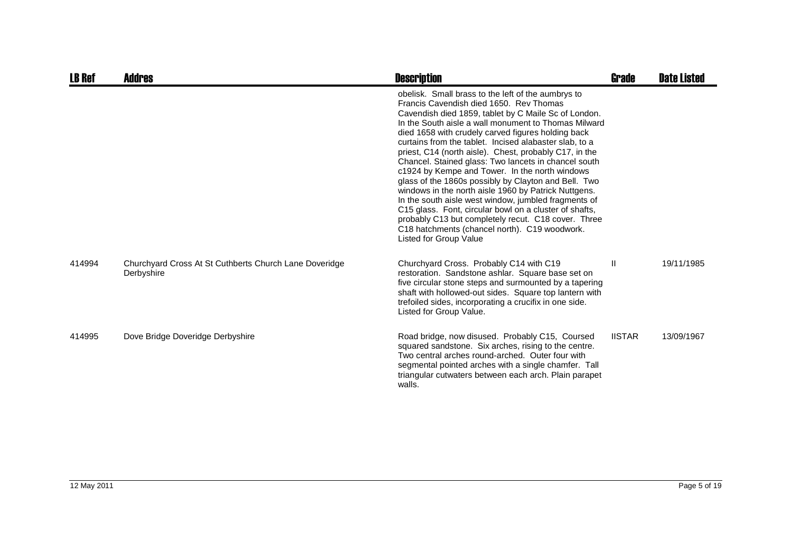| <b>LB Ref</b> | <b>Addres</b>                                                        | <b>Description</b>                                                                                                                                                                                                                                                                                                                                                                                                                                                                                                                                                                                                                                                                                                                                                                                                                                                    | <b>Grade</b>  | <b>Date Listed</b> |
|---------------|----------------------------------------------------------------------|-----------------------------------------------------------------------------------------------------------------------------------------------------------------------------------------------------------------------------------------------------------------------------------------------------------------------------------------------------------------------------------------------------------------------------------------------------------------------------------------------------------------------------------------------------------------------------------------------------------------------------------------------------------------------------------------------------------------------------------------------------------------------------------------------------------------------------------------------------------------------|---------------|--------------------|
|               |                                                                      | obelisk. Small brass to the left of the aumbrys to<br>Francis Cavendish died 1650. Rev Thomas<br>Cavendish died 1859, tablet by C Maile Sc of London.<br>In the South aisle a wall monument to Thomas Milward<br>died 1658 with crudely carved figures holding back<br>curtains from the tablet. Incised alabaster slab, to a<br>priest, C14 (north aisle). Chest, probably C17, in the<br>Chancel. Stained glass: Two lancets in chancel south<br>c1924 by Kempe and Tower. In the north windows<br>glass of the 1860s possibly by Clayton and Bell. Two<br>windows in the north aisle 1960 by Patrick Nuttgens.<br>In the south aisle west window, jumbled fragments of<br>C15 glass. Font, circular bowl on a cluster of shafts,<br>probably C13 but completely recut. C18 cover. Three<br>C18 hatchments (chancel north). C19 woodwork.<br>Listed for Group Value |               |                    |
| 414994        | Churchyard Cross At St Cuthberts Church Lane Doveridge<br>Derbyshire | Churchyard Cross. Probably C14 with C19<br>restoration. Sandstone ashlar. Square base set on<br>five circular stone steps and surmounted by a tapering<br>shaft with hollowed-out sides. Square top lantern with<br>trefoiled sides, incorporating a crucifix in one side.<br>Listed for Group Value.                                                                                                                                                                                                                                                                                                                                                                                                                                                                                                                                                                 | $\mathbf{I}$  | 19/11/1985         |
| 414995        | Dove Bridge Doveridge Derbyshire                                     | Road bridge, now disused. Probably C15, Coursed<br>squared sandstone. Six arches, rising to the centre.<br>Two central arches round-arched. Outer four with<br>segmental pointed arches with a single chamfer. Tall<br>triangular cutwaters between each arch. Plain parapet<br>walls.                                                                                                                                                                                                                                                                                                                                                                                                                                                                                                                                                                                | <b>IISTAR</b> | 13/09/1967         |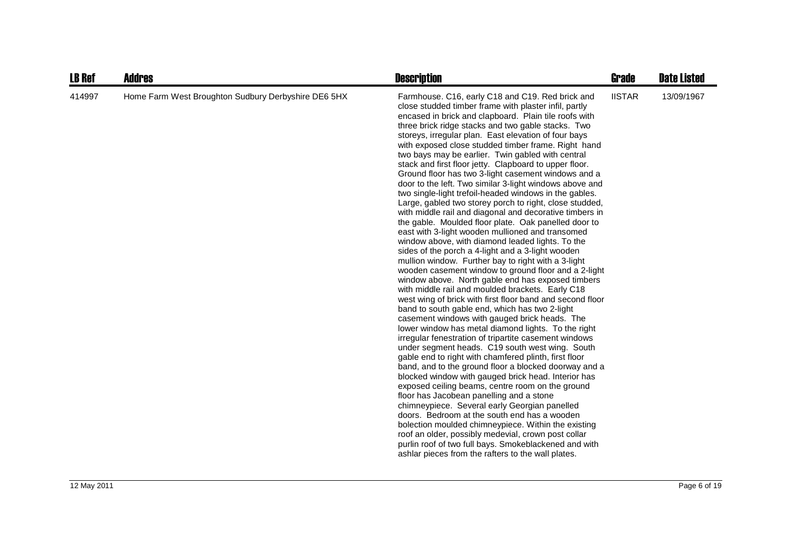| <b>LB Ref</b> | Addres                                              | <b>Description</b>                                                                                                                                                                                                                                                                                                                                                                                                                                                                                                                                                                                                                                                                                                                                                                                                                                                                                                                                                                                                                                                                                                                                                                                                                                                                                                                                                                                                                                                                                                                                                                                                                                                                                                                                                                                                                                                                                                                                                                                                                                                                                                                              | Grade         | <b>Date Listed</b> |
|---------------|-----------------------------------------------------|-------------------------------------------------------------------------------------------------------------------------------------------------------------------------------------------------------------------------------------------------------------------------------------------------------------------------------------------------------------------------------------------------------------------------------------------------------------------------------------------------------------------------------------------------------------------------------------------------------------------------------------------------------------------------------------------------------------------------------------------------------------------------------------------------------------------------------------------------------------------------------------------------------------------------------------------------------------------------------------------------------------------------------------------------------------------------------------------------------------------------------------------------------------------------------------------------------------------------------------------------------------------------------------------------------------------------------------------------------------------------------------------------------------------------------------------------------------------------------------------------------------------------------------------------------------------------------------------------------------------------------------------------------------------------------------------------------------------------------------------------------------------------------------------------------------------------------------------------------------------------------------------------------------------------------------------------------------------------------------------------------------------------------------------------------------------------------------------------------------------------------------------------|---------------|--------------------|
| 414997        | Home Farm West Broughton Sudbury Derbyshire DE6 5HX | Farmhouse. C16, early C18 and C19. Red brick and<br>close studded timber frame with plaster infil, partly<br>encased in brick and clapboard. Plain tile roofs with<br>three brick ridge stacks and two gable stacks. Two<br>storeys, irregular plan. East elevation of four bays<br>with exposed close studded timber frame. Right hand<br>two bays may be earlier. Twin gabled with central<br>stack and first floor jetty. Clapboard to upper floor.<br>Ground floor has two 3-light casement windows and a<br>door to the left. Two similar 3-light windows above and<br>two single-light trefoil-headed windows in the gables.<br>Large, gabled two storey porch to right, close studded,<br>with middle rail and diagonal and decorative timbers in<br>the gable. Moulded floor plate. Oak panelled door to<br>east with 3-light wooden mullioned and transomed<br>window above, with diamond leaded lights. To the<br>sides of the porch a 4-light and a 3-light wooden<br>mullion window. Further bay to right with a 3-light<br>wooden casement window to ground floor and a 2-light<br>window above. North gable end has exposed timbers<br>with middle rail and moulded brackets. Early C18<br>west wing of brick with first floor band and second floor<br>band to south gable end, which has two 2-light<br>casement windows with gauged brick heads. The<br>lower window has metal diamond lights. To the right<br>irregular fenestration of tripartite casement windows<br>under segment heads. C19 south west wing. South<br>gable end to right with chamfered plinth, first floor<br>band, and to the ground floor a blocked doorway and a<br>blocked window with gauged brick head. Interior has<br>exposed ceiling beams, centre room on the ground<br>floor has Jacobean panelling and a stone<br>chimneypiece. Several early Georgian panelled<br>doors. Bedroom at the south end has a wooden<br>bolection moulded chimneypiece. Within the existing<br>roof an older, possibly medevial, crown post collar<br>purlin roof of two full bays. Smokeblackened and with<br>ashlar pieces from the rafters to the wall plates. | <b>IISTAR</b> | 13/09/1967         |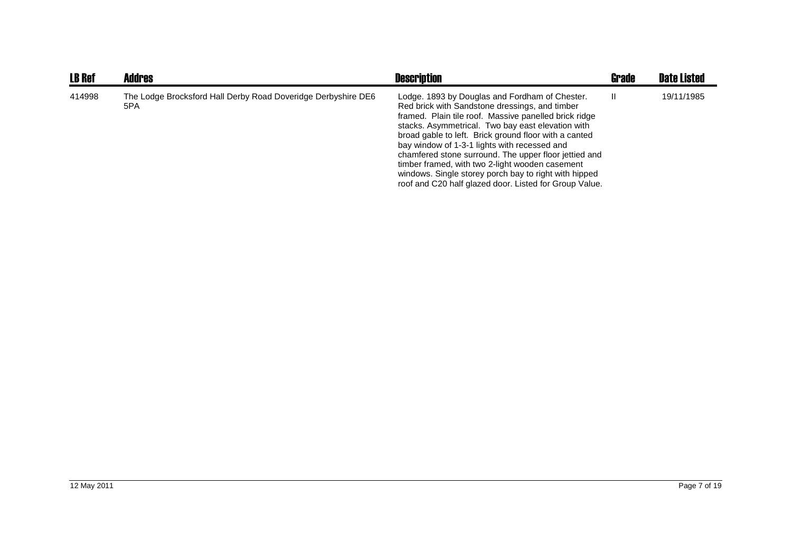| <b>LB Ref</b> | <b>Addres</b>                                                        | <b>Description</b>                                                                                                                                                                                                                                                                                                                                                                                                                                                                                                                                     | <b>Grade</b> | <b>Date Listed</b> |
|---------------|----------------------------------------------------------------------|--------------------------------------------------------------------------------------------------------------------------------------------------------------------------------------------------------------------------------------------------------------------------------------------------------------------------------------------------------------------------------------------------------------------------------------------------------------------------------------------------------------------------------------------------------|--------------|--------------------|
| 414998        | The Lodge Brocksford Hall Derby Road Doveridge Derbyshire DE6<br>5PA | Lodge. 1893 by Douglas and Fordham of Chester.<br>Red brick with Sandstone dressings, and timber<br>framed. Plain tile roof. Massive panelled brick ridge<br>stacks. Asymmetrical. Two bay east elevation with<br>broad gable to left. Brick ground floor with a canted<br>bay window of 1-3-1 lights with recessed and<br>chamfered stone surround. The upper floor jettied and<br>timber framed, with two 2-light wooden casement<br>windows. Single storey porch bay to right with hipped<br>roof and C20 half glazed door. Listed for Group Value. | Ш            | 19/11/1985         |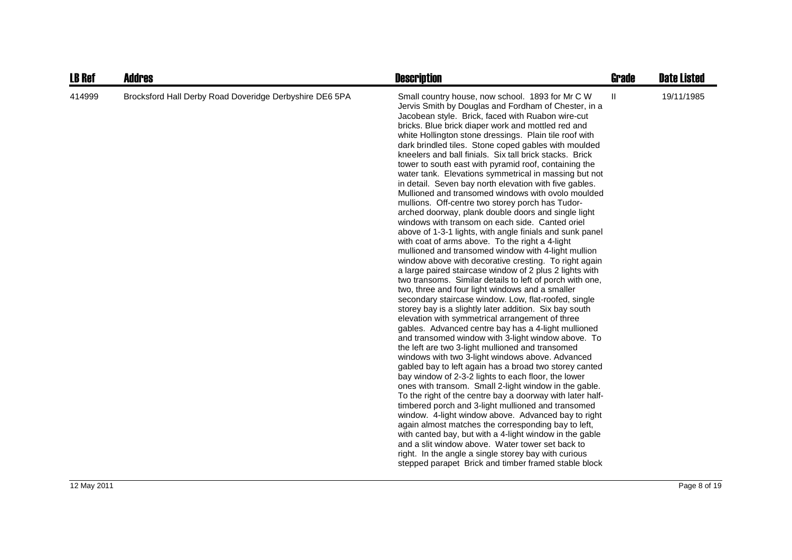| <b>LB Ref</b> | <b>Addres</b>                                           | <b>Description</b>                                                                                                                                                                                                                                                                                                                                                                                                                                                                                                                                                                                                                                                                                                                                                                                                                                                                                                                                                                                                                                                                                                                                                                                                                                                                                                                                                                                                                                                                                                                                                                                                                                                                                                                                                                                                                                                                                                                                                                                                                                                                                                                                                                                                                            | <b>Grade</b> | <b>Date Listed</b> |
|---------------|---------------------------------------------------------|-----------------------------------------------------------------------------------------------------------------------------------------------------------------------------------------------------------------------------------------------------------------------------------------------------------------------------------------------------------------------------------------------------------------------------------------------------------------------------------------------------------------------------------------------------------------------------------------------------------------------------------------------------------------------------------------------------------------------------------------------------------------------------------------------------------------------------------------------------------------------------------------------------------------------------------------------------------------------------------------------------------------------------------------------------------------------------------------------------------------------------------------------------------------------------------------------------------------------------------------------------------------------------------------------------------------------------------------------------------------------------------------------------------------------------------------------------------------------------------------------------------------------------------------------------------------------------------------------------------------------------------------------------------------------------------------------------------------------------------------------------------------------------------------------------------------------------------------------------------------------------------------------------------------------------------------------------------------------------------------------------------------------------------------------------------------------------------------------------------------------------------------------------------------------------------------------------------------------------------------------|--------------|--------------------|
| 414999        | Brocksford Hall Derby Road Doveridge Derbyshire DE6 5PA | Small country house, now school. 1893 for Mr C W<br>Jervis Smith by Douglas and Fordham of Chester, in a<br>Jacobean style. Brick, faced with Ruabon wire-cut<br>bricks. Blue brick diaper work and mottled red and<br>white Hollington stone dressings. Plain tile roof with<br>dark brindled tiles. Stone coped gables with moulded<br>kneelers and ball finials. Six tall brick stacks. Brick<br>tower to south east with pyramid roof, containing the<br>water tank. Elevations symmetrical in massing but not<br>in detail. Seven bay north elevation with five gables.<br>Mullioned and transomed windows with ovolo moulded<br>mullions. Off-centre two storey porch has Tudor-<br>arched doorway, plank double doors and single light<br>windows with transom on each side. Canted oriel<br>above of 1-3-1 lights, with angle finials and sunk panel<br>with coat of arms above. To the right a 4-light<br>mullioned and transomed window with 4-light mullion<br>window above with decorative cresting. To right again<br>a large paired staircase window of 2 plus 2 lights with<br>two transoms. Similar details to left of porch with one,<br>two, three and four light windows and a smaller<br>secondary staircase window. Low, flat-roofed, single<br>storey bay is a slightly later addition. Six bay south<br>elevation with symmetrical arrangement of three<br>gables. Advanced centre bay has a 4-light mullioned<br>and transomed window with 3-light window above. To<br>the left are two 3-light mullioned and transomed<br>windows with two 3-light windows above. Advanced<br>gabled bay to left again has a broad two storey canted<br>bay window of 2-3-2 lights to each floor, the lower<br>ones with transom. Small 2-light window in the gable.<br>To the right of the centre bay a doorway with later half-<br>timbered porch and 3-light mullioned and transomed<br>window. 4-light window above. Advanced bay to right<br>again almost matches the corresponding bay to left,<br>with canted bay, but with a 4-light window in the gable<br>and a slit window above. Water tower set back to<br>right. In the angle a single storey bay with curious<br>stepped parapet Brick and timber framed stable block | Ш            | 19/11/1985         |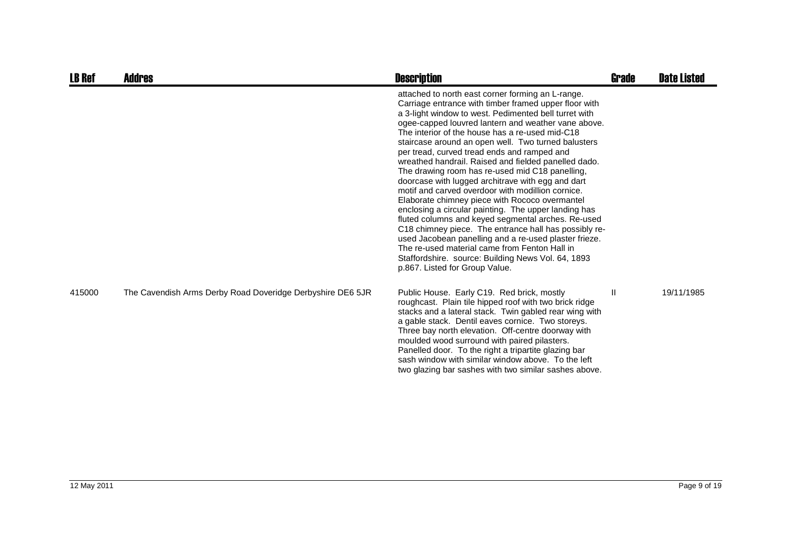| <b>LB Ref</b> | <b>Addres</b>                                              | <b>Description</b>                                                                                                                                                                                                                                                                                                                                                                                                                                                                                                                                                                                                                                                                                                                                                                                                                                                                                                                                                                                                                  | <b>Grade</b>  | <b>Date Listed</b> |
|---------------|------------------------------------------------------------|-------------------------------------------------------------------------------------------------------------------------------------------------------------------------------------------------------------------------------------------------------------------------------------------------------------------------------------------------------------------------------------------------------------------------------------------------------------------------------------------------------------------------------------------------------------------------------------------------------------------------------------------------------------------------------------------------------------------------------------------------------------------------------------------------------------------------------------------------------------------------------------------------------------------------------------------------------------------------------------------------------------------------------------|---------------|--------------------|
|               |                                                            | attached to north east corner forming an L-range.<br>Carriage entrance with timber framed upper floor with<br>a 3-light window to west. Pedimented bell turret with<br>ogee-capped louvred lantern and weather vane above.<br>The interior of the house has a re-used mid-C18<br>staircase around an open well. Two turned balusters<br>per tread, curved tread ends and ramped and<br>wreathed handrail. Raised and fielded panelled dado.<br>The drawing room has re-used mid C18 panelling,<br>doorcase with lugged architrave with egg and dart<br>motif and carved overdoor with modillion cornice.<br>Elaborate chimney piece with Rococo overmantel<br>enclosing a circular painting. The upper landing has<br>fluted columns and keyed segmental arches. Re-used<br>C18 chimney piece. The entrance hall has possibly re-<br>used Jacobean panelling and a re-used plaster frieze.<br>The re-used material came from Fenton Hall in<br>Staffordshire. source: Building News Vol. 64, 1893<br>p.867. Listed for Group Value. |               |                    |
| 415000        | The Cavendish Arms Derby Road Doveridge Derbyshire DE6 5JR | Public House. Early C19. Red brick, mostly<br>roughcast. Plain tile hipped roof with two brick ridge<br>stacks and a lateral stack. Twin gabled rear wing with<br>a gable stack. Dentil eaves cornice. Two storeys.<br>Three bay north elevation. Off-centre doorway with<br>moulded wood surround with paired pilasters.<br>Panelled door. To the right a tripartite glazing bar<br>sash window with similar window above. To the left<br>two glazing bar sashes with two similar sashes above.                                                                                                                                                                                                                                                                                                                                                                                                                                                                                                                                    | $\mathbf{II}$ | 19/11/1985         |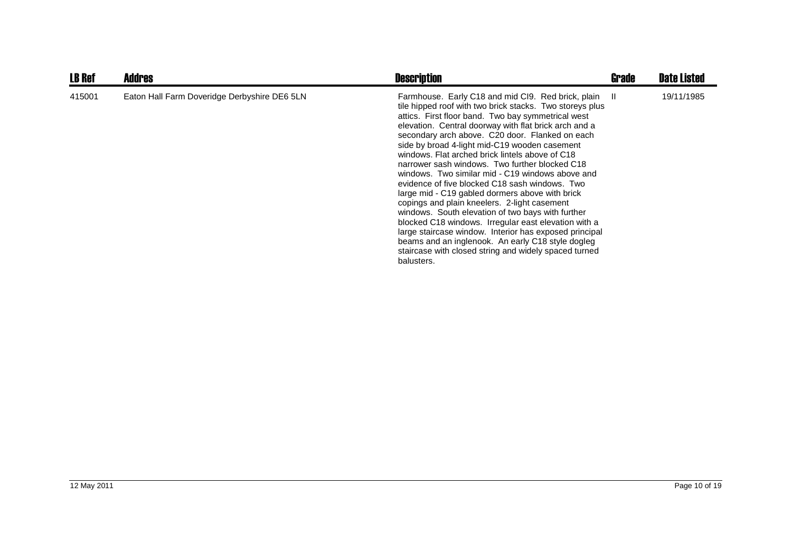| <b>LB Ref</b> | <b>Addres</b>                                | <b>Description</b>                                                                                                                                                                                                                                                                                                                                                                                                                                                                                                                                                                                                                                                                                                                                                                                                                                                                                                                                    | Grade | <b>Date Listed</b> |
|---------------|----------------------------------------------|-------------------------------------------------------------------------------------------------------------------------------------------------------------------------------------------------------------------------------------------------------------------------------------------------------------------------------------------------------------------------------------------------------------------------------------------------------------------------------------------------------------------------------------------------------------------------------------------------------------------------------------------------------------------------------------------------------------------------------------------------------------------------------------------------------------------------------------------------------------------------------------------------------------------------------------------------------|-------|--------------------|
| 415001        | Eaton Hall Farm Doveridge Derbyshire DE6 5LN | Farmhouse. Early C18 and mid Cl9. Red brick, plain II<br>tile hipped roof with two brick stacks. Two storeys plus<br>attics. First floor band. Two bay symmetrical west<br>elevation. Central doorway with flat brick arch and a<br>secondary arch above. C20 door. Flanked on each<br>side by broad 4-light mid-C19 wooden casement<br>windows. Flat arched brick lintels above of C18<br>narrower sash windows. Two further blocked C18<br>windows. Two similar mid - C19 windows above and<br>evidence of five blocked C18 sash windows. Two<br>large mid - C19 gabled dormers above with brick<br>copings and plain kneelers. 2-light casement<br>windows. South elevation of two bays with further<br>blocked C18 windows. Irregular east elevation with a<br>large staircase window. Interior has exposed principal<br>beams and an inglenook. An early C18 style dogleg<br>staircase with closed string and widely spaced turned<br>balusters. |       | 19/11/1985         |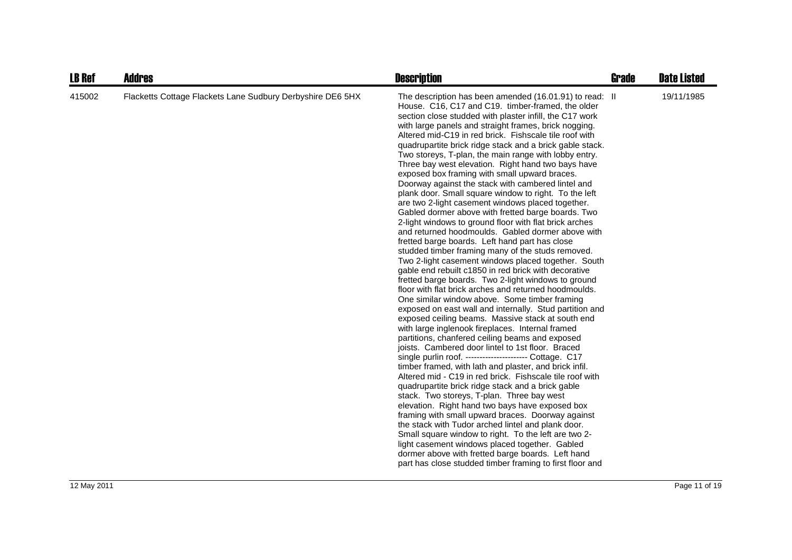| <b>LB Ref</b> | <b>Addres</b>                                              | <b>Description</b>                                                                                                                                                                                                                                                                                                                                                                                                                                                                                                                                                                                                                                                                                                                                                                                                                                                                                                                                                                                                                                                                                                                                                                                                                                                                                                                                                                                                                                                                                                                                                                                                                                                                                                                                                                                                                                                                                                                                                                                                                                                                                                                                                                                             | <b>Grade</b> | <b>Date Listed</b> |
|---------------|------------------------------------------------------------|----------------------------------------------------------------------------------------------------------------------------------------------------------------------------------------------------------------------------------------------------------------------------------------------------------------------------------------------------------------------------------------------------------------------------------------------------------------------------------------------------------------------------------------------------------------------------------------------------------------------------------------------------------------------------------------------------------------------------------------------------------------------------------------------------------------------------------------------------------------------------------------------------------------------------------------------------------------------------------------------------------------------------------------------------------------------------------------------------------------------------------------------------------------------------------------------------------------------------------------------------------------------------------------------------------------------------------------------------------------------------------------------------------------------------------------------------------------------------------------------------------------------------------------------------------------------------------------------------------------------------------------------------------------------------------------------------------------------------------------------------------------------------------------------------------------------------------------------------------------------------------------------------------------------------------------------------------------------------------------------------------------------------------------------------------------------------------------------------------------------------------------------------------------------------------------------------------------|--------------|--------------------|
| 415002        | Flacketts Cottage Flackets Lane Sudbury Derbyshire DE6 5HX | The description has been amended (16.01.91) to read: II<br>House. C16, C17 and C19. timber-framed, the older<br>section close studded with plaster infill, the C17 work<br>with large panels and straight frames, brick nogging.<br>Altered mid-C19 in red brick. Fishscale tile roof with<br>quadrupartite brick ridge stack and a brick gable stack.<br>Two storeys, T-plan, the main range with lobby entry.<br>Three bay west elevation. Right hand two bays have<br>exposed box framing with small upward braces.<br>Doorway against the stack with cambered lintel and<br>plank door. Small square window to right. To the left<br>are two 2-light casement windows placed together.<br>Gabled dormer above with fretted barge boards. Two<br>2-light windows to ground floor with flat brick arches<br>and returned hoodmoulds. Gabled dormer above with<br>fretted barge boards. Left hand part has close<br>studded timber framing many of the studs removed.<br>Two 2-light casement windows placed together. South<br>gable end rebuilt c1850 in red brick with decorative<br>fretted barge boards. Two 2-light windows to ground<br>floor with flat brick arches and returned hoodmoulds.<br>One similar window above. Some timber framing<br>exposed on east wall and internally. Stud partition and<br>exposed ceiling beams. Massive stack at south end<br>with large inglenook fireplaces. Internal framed<br>partitions, chanfered ceiling beams and exposed<br>joists. Cambered door lintel to 1st floor. Braced<br>single purlin roof. --------------------- Cottage. C17<br>timber framed, with lath and plaster, and brick infil.<br>Altered mid - C19 in red brick. Fishscale tile roof with<br>quadrupartite brick ridge stack and a brick gable<br>stack. Two storeys, T-plan. Three bay west<br>elevation. Right hand two bays have exposed box<br>framing with small upward braces. Doorway against<br>the stack with Tudor arched lintel and plank door.<br>Small square window to right. To the left are two 2-<br>light casement windows placed together. Gabled<br>dormer above with fretted barge boards. Left hand<br>part has close studded timber framing to first floor and |              | 19/11/1985         |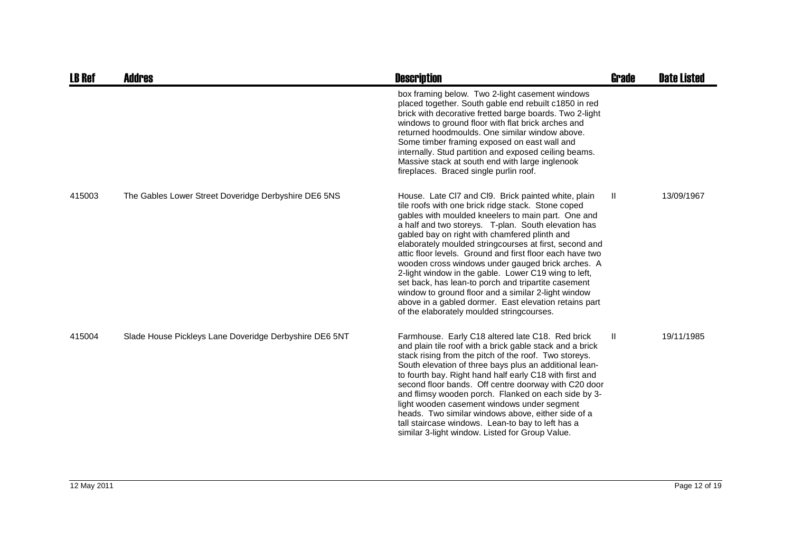| <b>LB Ref</b> | Addres                                                 | <b>Description</b>                                                                                                                                                                                                                                                                                                                                                                                                                                                                                                                                                                                                                                                                                                             | <b>Grade</b> | <b>Date Listed</b> |
|---------------|--------------------------------------------------------|--------------------------------------------------------------------------------------------------------------------------------------------------------------------------------------------------------------------------------------------------------------------------------------------------------------------------------------------------------------------------------------------------------------------------------------------------------------------------------------------------------------------------------------------------------------------------------------------------------------------------------------------------------------------------------------------------------------------------------|--------------|--------------------|
|               |                                                        | box framing below. Two 2-light casement windows<br>placed together. South gable end rebuilt c1850 in red<br>brick with decorative fretted barge boards. Two 2-light<br>windows to ground floor with flat brick arches and<br>returned hoodmoulds. One similar window above.<br>Some timber framing exposed on east wall and<br>internally. Stud partition and exposed ceiling beams.<br>Massive stack at south end with large inglenook<br>fireplaces. Braced single purlin roof.                                                                                                                                                                                                                                              |              |                    |
| 415003        | The Gables Lower Street Doveridge Derbyshire DE6 5NS   | House. Late CI7 and CI9. Brick painted white, plain<br>tile roofs with one brick ridge stack. Stone coped<br>gables with moulded kneelers to main part. One and<br>a half and two storeys. T-plan. South elevation has<br>gabled bay on right with chamfered plinth and<br>elaborately moulded stringcourses at first, second and<br>attic floor levels. Ground and first floor each have two<br>wooden cross windows under gauged brick arches. A<br>2-light window in the gable. Lower C19 wing to left,<br>set back, has lean-to porch and tripartite casement<br>window to ground floor and a similar 2-light window<br>above in a gabled dormer. East elevation retains part<br>of the elaborately moulded stringcourses. | H.           | 13/09/1967         |
| 415004        | Slade House Pickleys Lane Doveridge Derbyshire DE6 5NT | Farmhouse. Early C18 altered late C18. Red brick<br>and plain tile roof with a brick gable stack and a brick<br>stack rising from the pitch of the roof. Two storeys.<br>South elevation of three bays plus an additional lean-<br>to fourth bay. Right hand half early C18 with first and<br>second floor bands. Off centre doorway with C20 door<br>and flimsy wooden porch. Flanked on each side by 3-<br>light wooden casement windows under segment<br>heads. Two similar windows above, either side of a<br>tall staircase windows. Lean-to bay to left has a<br>similar 3-light window. Listed for Group Value.                                                                                                         | Ш            | 19/11/1985         |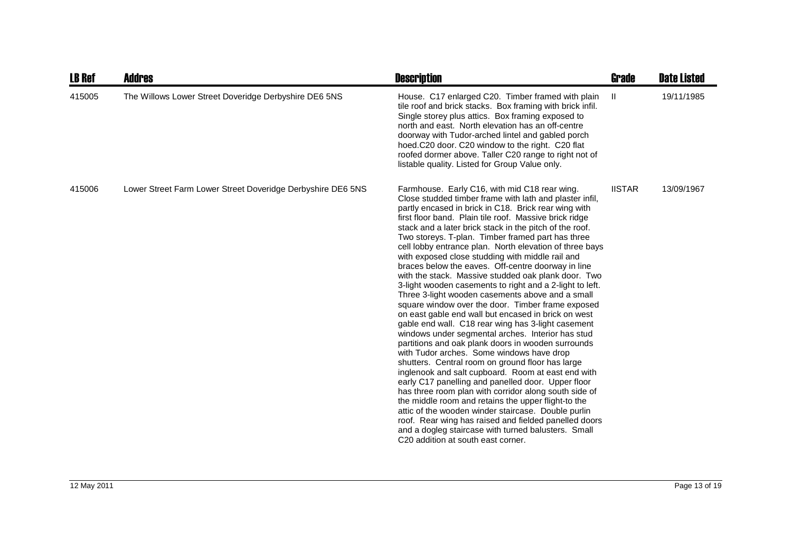| <b>LB Ref</b> | <b>Addres</b>                                               | <b>Description</b>                                                                                                                                                                                                                                                                                                                                                                                                                                                                                                                                                                                                                                                                                                                                                                                                                                                                                                                                                                                                                                                                                                                                                                                                                                                                                                                                                                                                                                                                                                        | <b>Grade</b>  | <b>Date Listed</b> |
|---------------|-------------------------------------------------------------|---------------------------------------------------------------------------------------------------------------------------------------------------------------------------------------------------------------------------------------------------------------------------------------------------------------------------------------------------------------------------------------------------------------------------------------------------------------------------------------------------------------------------------------------------------------------------------------------------------------------------------------------------------------------------------------------------------------------------------------------------------------------------------------------------------------------------------------------------------------------------------------------------------------------------------------------------------------------------------------------------------------------------------------------------------------------------------------------------------------------------------------------------------------------------------------------------------------------------------------------------------------------------------------------------------------------------------------------------------------------------------------------------------------------------------------------------------------------------------------------------------------------------|---------------|--------------------|
| 415005        | The Willows Lower Street Doveridge Derbyshire DE6 5NS       | House. C17 enlarged C20. Timber framed with plain<br>tile roof and brick stacks. Box framing with brick infil.<br>Single storey plus attics. Box framing exposed to<br>north and east. North elevation has an off-centre<br>doorway with Tudor-arched lintel and gabled porch<br>hoed.C20 door. C20 window to the right. C20 flat<br>roofed dormer above. Taller C20 range to right not of<br>listable quality. Listed for Group Value only.                                                                                                                                                                                                                                                                                                                                                                                                                                                                                                                                                                                                                                                                                                                                                                                                                                                                                                                                                                                                                                                                              | $\mathbf{H}$  | 19/11/1985         |
| 415006        | Lower Street Farm Lower Street Doveridge Derbyshire DE6 5NS | Farmhouse. Early C16, with mid C18 rear wing.<br>Close studded timber frame with lath and plaster infil,<br>partly encased in brick in C18. Brick rear wing with<br>first floor band. Plain tile roof. Massive brick ridge<br>stack and a later brick stack in the pitch of the roof.<br>Two storeys. T-plan. Timber framed part has three<br>cell lobby entrance plan. North elevation of three bays<br>with exposed close studding with middle rail and<br>braces below the eaves. Off-centre doorway in line<br>with the stack. Massive studded oak plank door. Two<br>3-light wooden casements to right and a 2-light to left.<br>Three 3-light wooden casements above and a small<br>square window over the door. Timber frame exposed<br>on east gable end wall but encased in brick on west<br>gable end wall. C18 rear wing has 3-light casement<br>windows under segmental arches. Interior has stud<br>partitions and oak plank doors in wooden surrounds<br>with Tudor arches. Some windows have drop<br>shutters. Central room on ground floor has large<br>inglenook and salt cupboard. Room at east end with<br>early C17 panelling and panelled door. Upper floor<br>has three room plan with corridor along south side of<br>the middle room and retains the upper flight-to the<br>attic of the wooden winder staircase. Double purlin<br>roof. Rear wing has raised and fielded panelled doors<br>and a dogleg staircase with turned balusters. Small<br>C <sub>20</sub> addition at south east corner. | <b>IISTAR</b> | 13/09/1967         |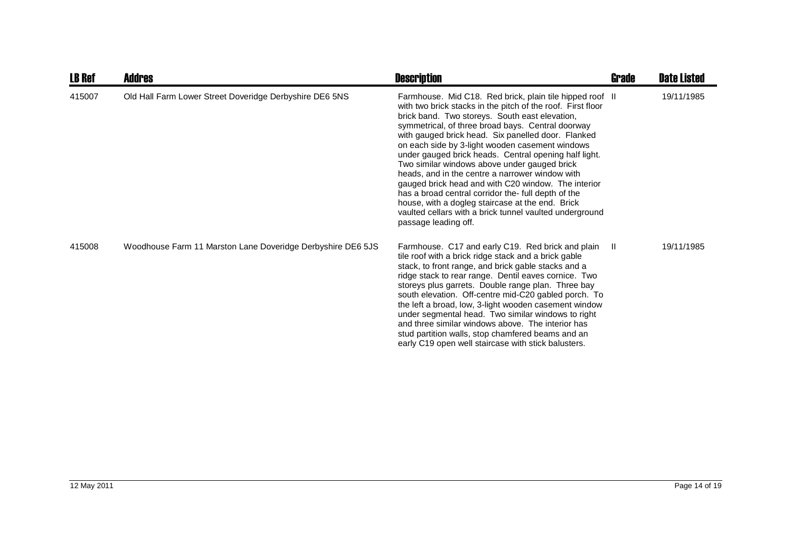| <b>LB Ref</b> | <b>Addres</b>                                               | <b>Description</b>                                                                                                                                                                                                                                                                                                                                                                                                                                                                                                                                                                                                                                                                                                                                       | Grade | <b>Date Listed</b> |
|---------------|-------------------------------------------------------------|----------------------------------------------------------------------------------------------------------------------------------------------------------------------------------------------------------------------------------------------------------------------------------------------------------------------------------------------------------------------------------------------------------------------------------------------------------------------------------------------------------------------------------------------------------------------------------------------------------------------------------------------------------------------------------------------------------------------------------------------------------|-------|--------------------|
| 415007        | Old Hall Farm Lower Street Doveridge Derbyshire DE6 5NS     | Farmhouse. Mid C18. Red brick, plain tile hipped roof II<br>with two brick stacks in the pitch of the roof. First floor<br>brick band. Two storeys. South east elevation,<br>symmetrical, of three broad bays. Central doorway<br>with gauged brick head. Six panelled door. Flanked<br>on each side by 3-light wooden casement windows<br>under gauged brick heads. Central opening half light.<br>Two similar windows above under gauged brick<br>heads, and in the centre a narrower window with<br>gauged brick head and with C20 window. The interior<br>has a broad central corridor the- full depth of the<br>house, with a dogleg staircase at the end. Brick<br>vaulted cellars with a brick tunnel vaulted underground<br>passage leading off. |       | 19/11/1985         |
| 415008        | Woodhouse Farm 11 Marston Lane Doveridge Derbyshire DE6 5JS | Farmhouse. C17 and early C19. Red brick and plain<br>tile roof with a brick ridge stack and a brick gable<br>stack, to front range, and brick gable stacks and a<br>ridge stack to rear range. Dentil eaves cornice. Two<br>storeys plus garrets. Double range plan. Three bay<br>south elevation. Off-centre mid-C20 gabled porch. To<br>the left a broad, low, 3-light wooden casement window<br>under segmental head. Two similar windows to right<br>and three similar windows above. The interior has<br>stud partition walls, stop chamfered beams and an<br>early C19 open well staircase with stick balusters.                                                                                                                                   | - II  | 19/11/1985         |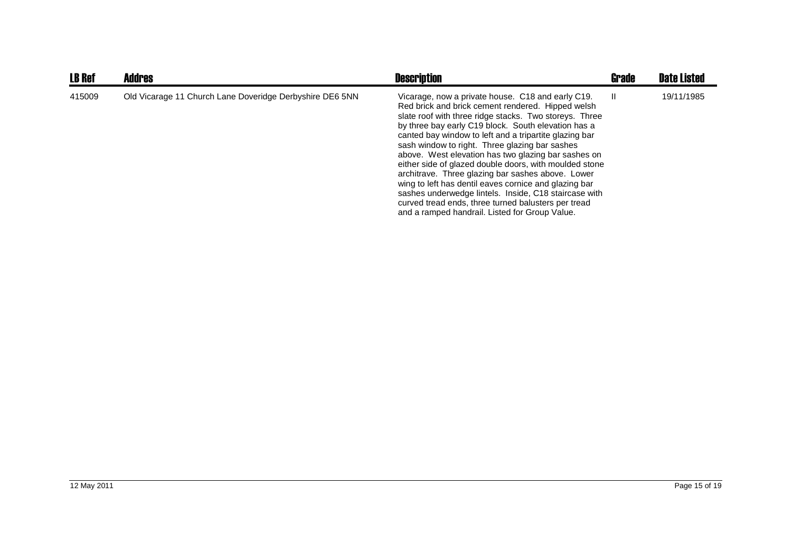| <b>LB Ref</b> | <b>Addres</b>                                            | <b>Description</b>                                                                                                                                                                                                                                                                                                                                                                                                                                                                                                                                                                                                                                                                                                                   | <b>Grade</b> | <b>Date Listed</b> |
|---------------|----------------------------------------------------------|--------------------------------------------------------------------------------------------------------------------------------------------------------------------------------------------------------------------------------------------------------------------------------------------------------------------------------------------------------------------------------------------------------------------------------------------------------------------------------------------------------------------------------------------------------------------------------------------------------------------------------------------------------------------------------------------------------------------------------------|--------------|--------------------|
| 415009        | Old Vicarage 11 Church Lane Doveridge Derbyshire DE6 5NN | Vicarage, now a private house. C18 and early C19.<br>Red brick and brick cement rendered. Hipped welsh<br>slate roof with three ridge stacks. Two storeys. Three<br>by three bay early C19 block. South elevation has a<br>canted bay window to left and a tripartite glazing bar<br>sash window to right. Three glazing bar sashes<br>above. West elevation has two glazing bar sashes on<br>either side of glazed double doors, with moulded stone<br>architrave. Three glazing bar sashes above. Lower<br>wing to left has dentil eaves cornice and glazing bar<br>sashes underwedge lintels. Inside, C18 staircase with<br>curved tread ends, three turned balusters per tread<br>and a ramped handrail. Listed for Group Value. | -II          | 19/11/1985         |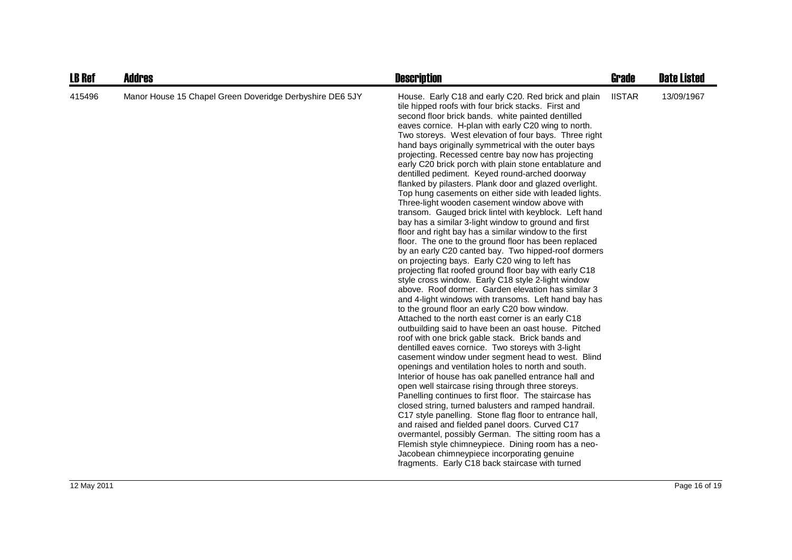| <b>LB Ref</b> | <b>Addres</b>                                            | <b>Description</b>                                                                                                                                                                                                                                                                                                                                                                                                                                                                                                                                                                                                                                                                                                                                                                                                                                                                                                                                                                                                                                                                                                                                                                                                                                                                                                                                                                                                                                                                                                                                                                                                                                                                                                                                                                                                                                                                                                                                                                                                                                                                                                                                                                                | Grade         | <b>Date Listed</b> |
|---------------|----------------------------------------------------------|---------------------------------------------------------------------------------------------------------------------------------------------------------------------------------------------------------------------------------------------------------------------------------------------------------------------------------------------------------------------------------------------------------------------------------------------------------------------------------------------------------------------------------------------------------------------------------------------------------------------------------------------------------------------------------------------------------------------------------------------------------------------------------------------------------------------------------------------------------------------------------------------------------------------------------------------------------------------------------------------------------------------------------------------------------------------------------------------------------------------------------------------------------------------------------------------------------------------------------------------------------------------------------------------------------------------------------------------------------------------------------------------------------------------------------------------------------------------------------------------------------------------------------------------------------------------------------------------------------------------------------------------------------------------------------------------------------------------------------------------------------------------------------------------------------------------------------------------------------------------------------------------------------------------------------------------------------------------------------------------------------------------------------------------------------------------------------------------------------------------------------------------------------------------------------------------------|---------------|--------------------|
| 415496        | Manor House 15 Chapel Green Doveridge Derbyshire DE6 5JY | House. Early C18 and early C20. Red brick and plain<br>tile hipped roofs with four brick stacks. First and<br>second floor brick bands. white painted dentilled<br>eaves cornice. H-plan with early C20 wing to north.<br>Two storeys. West elevation of four bays. Three right<br>hand bays originally symmetrical with the outer bays<br>projecting. Recessed centre bay now has projecting<br>early C20 brick porch with plain stone entablature and<br>dentilled pediment. Keyed round-arched doorway<br>flanked by pilasters. Plank door and glazed overlight.<br>Top hung casements on either side with leaded lights.<br>Three-light wooden casement window above with<br>transom. Gauged brick lintel with keyblock. Left hand<br>bay has a similar 3-light window to ground and first<br>floor and right bay has a similar window to the first<br>floor. The one to the ground floor has been replaced<br>by an early C20 canted bay. Two hipped-roof dormers<br>on projecting bays. Early C20 wing to left has<br>projecting flat roofed ground floor bay with early C18<br>style cross window. Early C18 style 2-light window<br>above. Roof dormer. Garden elevation has similar 3<br>and 4-light windows with transoms. Left hand bay has<br>to the ground floor an early C20 bow window.<br>Attached to the north east corner is an early C18<br>outbuilding said to have been an oast house. Pitched<br>roof with one brick gable stack. Brick bands and<br>dentilled eaves cornice. Two storeys with 3-light<br>casement window under segment head to west. Blind<br>openings and ventilation holes to north and south.<br>Interior of house has oak panelled entrance hall and<br>open well staircase rising through three storeys.<br>Panelling continues to first floor. The staircase has<br>closed string, turned balusters and ramped handrail.<br>C17 style panelling. Stone flag floor to entrance hall,<br>and raised and fielded panel doors. Curved C17<br>overmantel, possibly German. The sitting room has a<br>Flemish style chimneypiece. Dining room has a neo-<br>Jacobean chimneypiece incorporating genuine<br>fragments. Early C18 back staircase with turned | <b>IISTAR</b> | 13/09/1967         |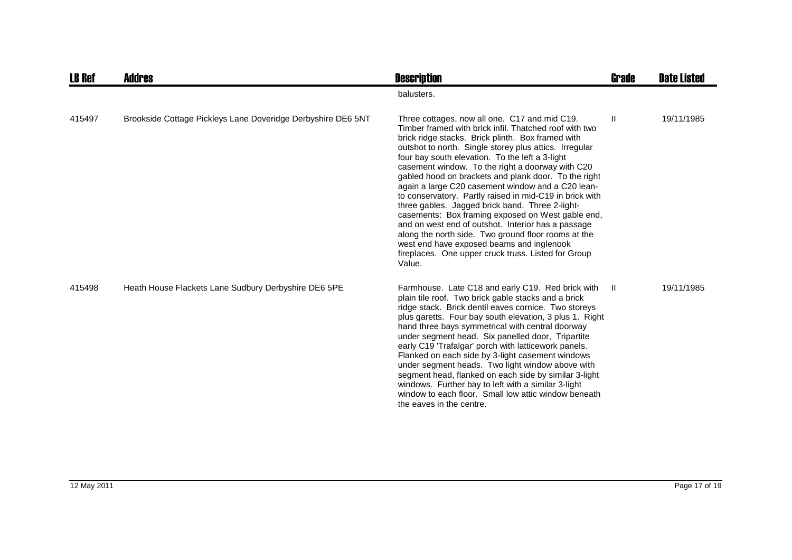| <b>LB Ref</b> | Addres                                                       | <b>Description</b>                                                                                                                                                                                                                                                                                                                                                                                                                                                                                                                                                                                                                                                                                                                                                                                                                       | Grade        | <b>Date Listed</b> |
|---------------|--------------------------------------------------------------|------------------------------------------------------------------------------------------------------------------------------------------------------------------------------------------------------------------------------------------------------------------------------------------------------------------------------------------------------------------------------------------------------------------------------------------------------------------------------------------------------------------------------------------------------------------------------------------------------------------------------------------------------------------------------------------------------------------------------------------------------------------------------------------------------------------------------------------|--------------|--------------------|
|               |                                                              | balusters.                                                                                                                                                                                                                                                                                                                                                                                                                                                                                                                                                                                                                                                                                                                                                                                                                               |              |                    |
| 415497        | Brookside Cottage Pickleys Lane Doveridge Derbyshire DE6 5NT | Three cottages, now all one. C17 and mid C19.<br>Timber framed with brick infil. Thatched roof with two<br>brick ridge stacks. Brick plinth. Box framed with<br>outshot to north. Single storey plus attics. Irregular<br>four bay south elevation. To the left a 3-light<br>casement window. To the right a doorway with C20<br>gabled hood on brackets and plank door. To the right<br>again a large C20 casement window and a C20 lean-<br>to conservatory. Partly raised in mid-C19 in brick with<br>three gables. Jagged brick band. Three 2-light-<br>casements: Box framing exposed on West gable end,<br>and on west end of outshot. Interior has a passage<br>along the north side. Two ground floor rooms at the<br>west end have exposed beams and inglenook<br>fireplaces. One upper cruck truss. Listed for Group<br>Value. | $\mathbf{H}$ | 19/11/1985         |
| 415498        | Heath House Flackets Lane Sudbury Derbyshire DE6 5PE         | Farmhouse. Late C18 and early C19. Red brick with<br>plain tile roof. Two brick gable stacks and a brick<br>ridge stack. Brick dentil eaves cornice. Two storeys<br>plus garetts. Four bay south elevation, 3 plus 1. Right<br>hand three bays symmetrical with central doorway<br>under segment head. Six panelled door, Tripartite<br>early C19 'Trafalgar' porch with latticework panels.<br>Flanked on each side by 3-light casement windows<br>under segment heads. Two light window above with<br>segment head, flanked on each side by similar 3-light<br>windows. Further bay to left with a similar 3-light<br>window to each floor. Small low attic window beneath<br>the eaves in the centre.                                                                                                                                 | $\mathbf{H}$ | 19/11/1985         |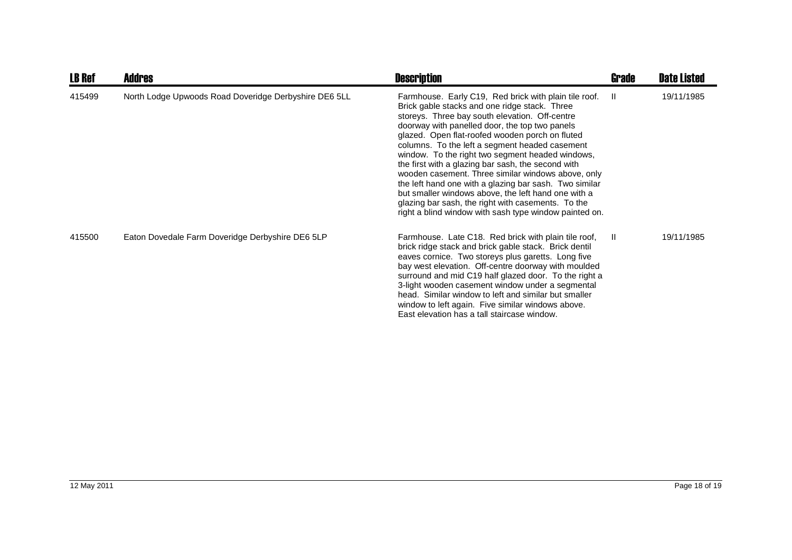| <b>LB Ref</b> | <b>Addres</b>                                         | <b>Description</b>                                                                                                                                                                                                                                                                                                                                                                                                                                                                                                                                                                                                                                                                                               | <b>Grade</b> | <b>Date Listed</b> |
|---------------|-------------------------------------------------------|------------------------------------------------------------------------------------------------------------------------------------------------------------------------------------------------------------------------------------------------------------------------------------------------------------------------------------------------------------------------------------------------------------------------------------------------------------------------------------------------------------------------------------------------------------------------------------------------------------------------------------------------------------------------------------------------------------------|--------------|--------------------|
| 415499        | North Lodge Upwoods Road Doveridge Derbyshire DE6 5LL | Farmhouse. Early C19, Red brick with plain tile roof.<br>Brick gable stacks and one ridge stack. Three<br>storeys. Three bay south elevation. Off-centre<br>doorway with panelled door, the top two panels<br>glazed. Open flat-roofed wooden porch on fluted<br>columns. To the left a segment headed casement<br>window. To the right two segment headed windows,<br>the first with a glazing bar sash, the second with<br>wooden casement. Three similar windows above, only<br>the left hand one with a glazing bar sash. Two similar<br>but smaller windows above, the left hand one with a<br>glazing bar sash, the right with casements. To the<br>right a blind window with sash type window painted on. | -II.         | 19/11/1985         |
| 415500        | Eaton Dovedale Farm Doveridge Derbyshire DE6 5LP      | Farmhouse. Late C18. Red brick with plain tile roof,<br>brick ridge stack and brick gable stack. Brick dentil<br>eaves cornice. Two storeys plus garetts. Long five<br>bay west elevation. Off-centre doorway with moulded<br>surround and mid C19 half glazed door. To the right a<br>3-light wooden casement window under a segmental<br>head. Similar window to left and similar but smaller<br>window to left again. Five similar windows above.<br>East elevation has a tall staircase window.                                                                                                                                                                                                              | $\mathbf{I}$ | 19/11/1985         |